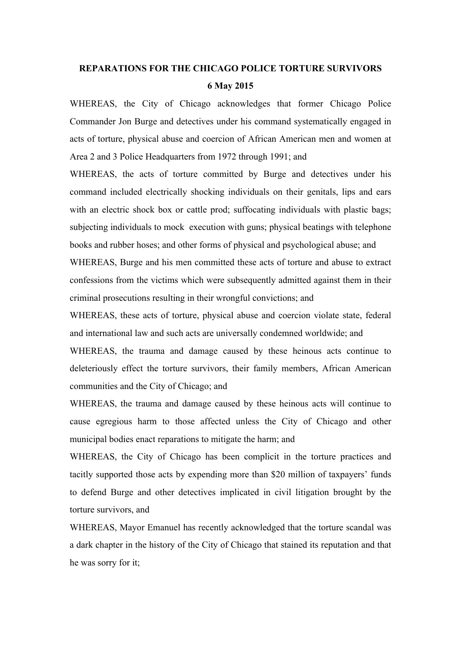## **REPARATIONS FOR THE CHICAGO POLICE TORTURE SURVIVORS 6 May 2015**

WHEREAS, the City of Chicago acknowledges that former Chicago Police Commander Jon Burge and detectives under his command systematically engaged in acts of torture, physical abuse and coercion of African American men and women at Area 2 and 3 Police Headquarters from 1972 through 1991; and

WHEREAS, the acts of torture committed by Burge and detectives under his command included electrically shocking individuals on their genitals, lips and ears with an electric shock box or cattle prod; suffocating individuals with plastic bags; subjecting individuals to mock execution with guns; physical beatings with telephone books and rubber hoses; and other forms of physical and psychological abuse; and WHEREAS, Burge and his men committed these acts of torture and abuse to extract confessions from the victims which were subsequently admitted against them in their criminal prosecutions resulting in their wrongful convictions; and

WHEREAS, these acts of torture, physical abuse and coercion violate state, federal and international law and such acts are universally condemned worldwide; and

WHEREAS, the trauma and damage caused by these heinous acts continue to deleteriously effect the torture survivors, their family members, African American communities and the City of Chicago; and

WHEREAS, the trauma and damage caused by these heinous acts will continue to cause egregious harm to those affected unless the City of Chicago and other municipal bodies enact reparations to mitigate the harm; and

WHEREAS, the City of Chicago has been complicit in the torture practices and tacitly supported those acts by expending more than \$20 million of taxpayers' funds to defend Burge and other detectives implicated in civil litigation brought by the torture survivors, and

WHEREAS, Mayor Emanuel has recently acknowledged that the torture scandal was a dark chapter in the history of the City of Chicago that stained its reputation and that he was sorry for it;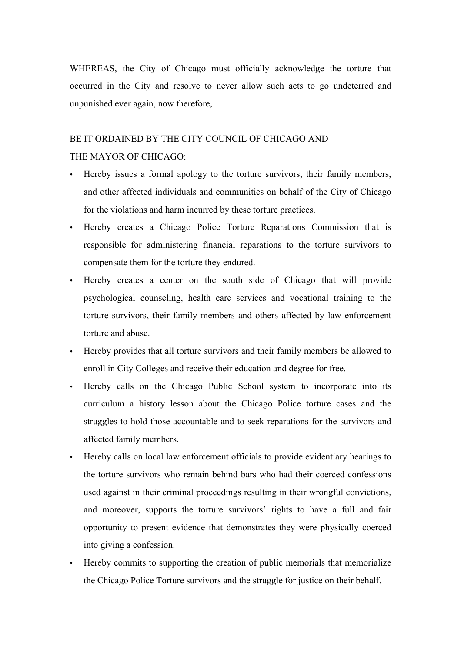WHEREAS, the City of Chicago must officially acknowledge the torture that occurred in the City and resolve to never allow such acts to go undeterred and unpunished ever again, now therefore,

## BE IT ORDAINED BY THE CITY COUNCIL OF CHICAGO AND THE MAYOR OF CHICAGO:

- Hereby issues a formal apology to the torture survivors, their family members, and other affected individuals and communities on behalf of the City of Chicago for the violations and harm incurred by these torture practices.
- Hereby creates a Chicago Police Torture Reparations Commission that is responsible for administering financial reparations to the torture survivors to compensate them for the torture they endured.
- Hereby creates a center on the south side of Chicago that will provide psychological counseling, health care services and vocational training to the torture survivors, their family members and others affected by law enforcement torture and abuse.
- Hereby provides that all torture survivors and their family members be allowed to enroll in City Colleges and receive their education and degree for free.
- Hereby calls on the Chicago Public School system to incorporate into its curriculum a history lesson about the Chicago Police torture cases and the struggles to hold those accountable and to seek reparations for the survivors and affected family members.
- Hereby calls on local law enforcement officials to provide evidentiary hearings to the torture survivors who remain behind bars who had their coerced confessions used against in their criminal proceedings resulting in their wrongful convictions, and moreover, supports the torture survivors' rights to have a full and fair opportunity to present evidence that demonstrates they were physically coerced into giving a confession.
- Hereby commits to supporting the creation of public memorials that memorialize the Chicago Police Torture survivors and the struggle for justice on their behalf.